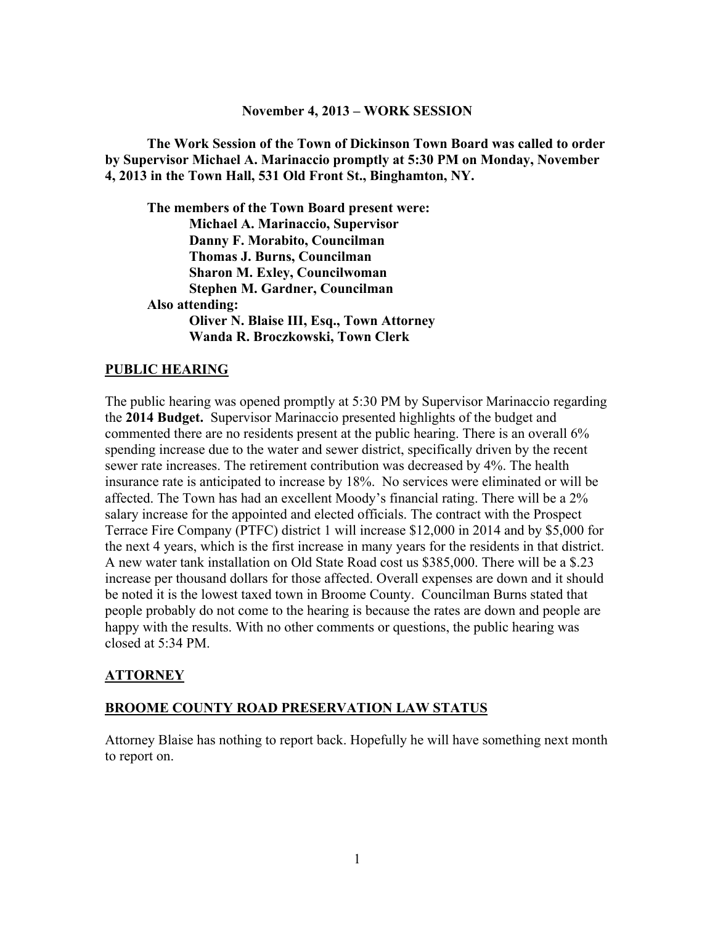#### **November 4, 2013 – WORK SESSION**

**The Work Session of the Town of Dickinson Town Board was called to order by Supervisor Michael A. Marinaccio promptly at 5:30 PM on Monday, November 4, 2013 in the Town Hall, 531 Old Front St., Binghamton, NY.** 

**The members of the Town Board present were: Michael A. Marinaccio, Supervisor Danny F. Morabito, Councilman Thomas J. Burns, Councilman Sharon M. Exley, Councilwoman Stephen M. Gardner, Councilman Also attending: Oliver N. Blaise III, Esq., Town Attorney Wanda R. Broczkowski, Town Clerk** 

### **PUBLIC HEARING**

The public hearing was opened promptly at 5:30 PM by Supervisor Marinaccio regarding the **2014 Budget.** Supervisor Marinaccio presented highlights of the budget and commented there are no residents present at the public hearing. There is an overall 6% spending increase due to the water and sewer district, specifically driven by the recent sewer rate increases. The retirement contribution was decreased by 4%. The health insurance rate is anticipated to increase by 18%. No services were eliminated or will be affected. The Town has had an excellent Moody's financial rating. There will be a 2% salary increase for the appointed and elected officials. The contract with the Prospect Terrace Fire Company (PTFC) district 1 will increase \$12,000 in 2014 and by \$5,000 for the next 4 years, which is the first increase in many years for the residents in that district. A new water tank installation on Old State Road cost us \$385,000. There will be a \$.23 increase per thousand dollars for those affected. Overall expenses are down and it should be noted it is the lowest taxed town in Broome County. Councilman Burns stated that people probably do not come to the hearing is because the rates are down and people are happy with the results. With no other comments or questions, the public hearing was closed at 5:34 PM.

## **ATTORNEY**

#### **BROOME COUNTY ROAD PRESERVATION LAW STATUS**

Attorney Blaise has nothing to report back. Hopefully he will have something next month to report on.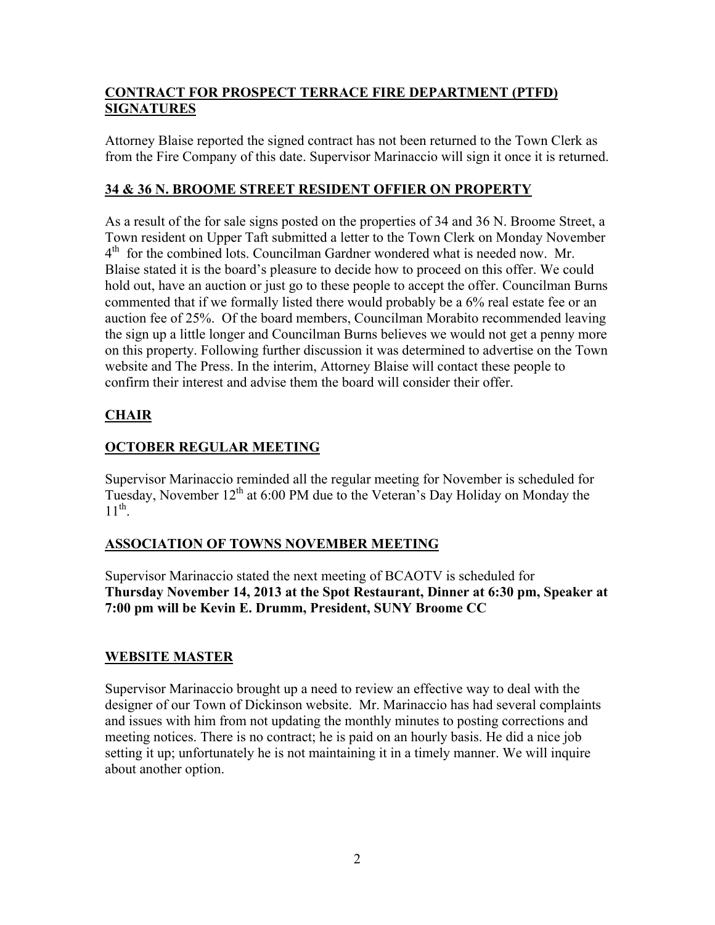# **CONTRACT FOR PROSPECT TERRACE FIRE DEPARTMENT (PTFD) SIGNATURES**

Attorney Blaise reported the signed contract has not been returned to the Town Clerk as from the Fire Company of this date. Supervisor Marinaccio will sign it once it is returned.

## **34 & 36 N. BROOME STREET RESIDENT OFFIER ON PROPERTY**

As a result of the for sale signs posted on the properties of 34 and 36 N. Broome Street, a Town resident on Upper Taft submitted a letter to the Town Clerk on Monday November 4<sup>th</sup> for the combined lots. Councilman Gardner wondered what is needed now. Mr. Blaise stated it is the board's pleasure to decide how to proceed on this offer. We could hold out, have an auction or just go to these people to accept the offer. Councilman Burns commented that if we formally listed there would probably be a 6% real estate fee or an auction fee of 25%. Of the board members, Councilman Morabito recommended leaving the sign up a little longer and Councilman Burns believes we would not get a penny more on this property. Following further discussion it was determined to advertise on the Town website and The Press. In the interim, Attorney Blaise will contact these people to confirm their interest and advise them the board will consider their offer.

# **CHAIR**

# **OCTOBER REGULAR MEETING**

Supervisor Marinaccio reminded all the regular meeting for November is scheduled for Tuesday, November  $12<sup>th</sup>$  at 6:00 PM due to the Veteran's Day Holiday on Monday the  $11^{\text{th}}$ 

# **ASSOCIATION OF TOWNS NOVEMBER MEETING**

Supervisor Marinaccio stated the next meeting of BCAOTV is scheduled for **Thursday November 14, 2013 at the Spot Restaurant, Dinner at 6:30 pm, Speaker at 7:00 pm will be Kevin E. Drumm, President, SUNY Broome CC** 

# **WEBSITE MASTER**

Supervisor Marinaccio brought up a need to review an effective way to deal with the designer of our Town of Dickinson website. Mr. Marinaccio has had several complaints and issues with him from not updating the monthly minutes to posting corrections and meeting notices. There is no contract; he is paid on an hourly basis. He did a nice job setting it up; unfortunately he is not maintaining it in a timely manner. We will inquire about another option.